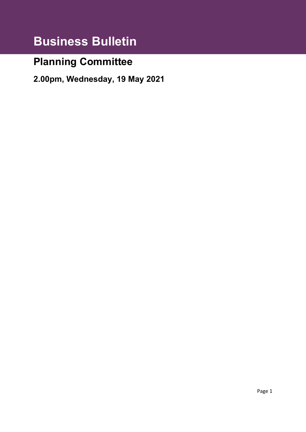# **Business Bulletin**

# **Planning Committee**

**2.00pm, Wednesday, 19 May 2021**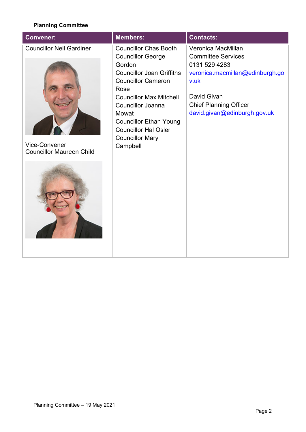### **Planning Committee**

| <b>Convener:</b>                                                                           | <b>Members:</b>                                                                                                                                                                                                                                                                                                          | <b>Contacts:</b>                                                                                                                                                                                   |
|--------------------------------------------------------------------------------------------|--------------------------------------------------------------------------------------------------------------------------------------------------------------------------------------------------------------------------------------------------------------------------------------------------------------------------|----------------------------------------------------------------------------------------------------------------------------------------------------------------------------------------------------|
| <b>Councillor Neil Gardiner</b><br><b>Vice-Convener</b><br><b>Councillor Maureen Child</b> | <b>Councillor Chas Booth</b><br><b>Councillor George</b><br>Gordon<br><b>Councillor Joan Griffiths</b><br><b>Councillor Cameron</b><br>Rose<br><b>Councillor Max Mitchell</b><br><b>Councillor Joanna</b><br>Mowat<br><b>Councillor Ethan Young</b><br><b>Councillor Hal Osler</b><br><b>Councillor Mary</b><br>Campbell | Veronica MacMillan<br><b>Committee Services</b><br>0131 529 4283<br>veronica.macmillan@edinburgh.go<br><u>v.uk</u><br>David Givan<br><b>Chief Planning Officer</b><br>david.givan@edinburgh.gov.uk |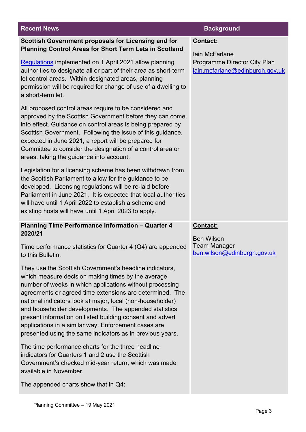### **Recent News Background**

### **Scottish Government proposals for Licensing and for Planning Control Areas for Short Term Lets in Scotland**

[Regulations](https://www.legislation.gov.uk/ssi/2021/154/contents/made) implemented on 1 April 2021 allow planning authorities to designate all or part of their area as short-term let control areas. Within designated areas, planning permission will be required for change of use of a dwelling to a short-term let.

All proposed control areas require to be considered and approved by the Scottish Government before they can come into effect. Guidance on control areas is being prepared by Scottish Government. Following the issue of this guidance, expected in June 2021, a report will be prepared for Committee to consider the designation of a control area or areas, taking the guidance into account.

Legislation for a licensing scheme has been withdrawn from the Scottish Parliament to allow for the guidance to be developed. Licensing regulations will be re-laid before Parliament in June 2021. It is expected that local authorities will have until 1 April 2022 to establish a scheme and existing hosts will have until 1 April 2023 to apply.

### **Planning Time Performance Information – Quarter 4 2020/21**

Time performance statistics for Quarter 4 (Q4) are appended to this Bulletin.

They use the Scottish Government's headline indicators, which measure decision making times by the average number of weeks in which applications without processing agreements or agreed time extensions are determined. The national indicators look at major, local (non-householder) and householder developments. The appended statistics present information on listed building consent and advert applications in a similar way. Enforcement cases are presented using the same indicators as in previous years.

The time performance charts for the three headline indicators for Quarters 1 and 2 use the Scottish Government's checked mid-year return, which was made available in November.

The appended charts show that in Q4:

### **Contact:**

Iain McFarlane Programme Director City Plan [iain.mcfarlane@edinburgh.gov.uk](mailto:iain.mcfarlane@edinburgh.gov.uk)

### **Contact:**

Ben Wilson Team Manager [ben.wilson@edinburgh.gov.uk](mailto:ben.wilson@edinburgh.gov.uk)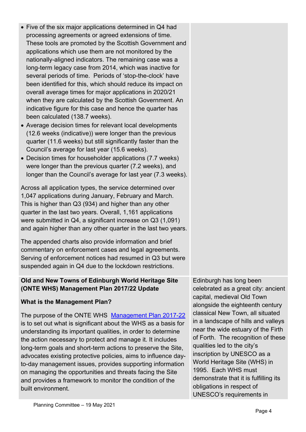- Five of the six major applications determined in Q4 had processing agreements or agreed extensions of time. These tools are promoted by the Scottish Government and applications which use them are not monitored by the nationally-aligned indicators. The remaining case was a long-term legacy case from 2014, which was inactive for several periods of time. Periods of 'stop-the-clock' have been identified for this, which should reduce its impact on overall average times for major applications in 2020/21 when they are calculated by the Scottish Government. An indicative figure for this case and hence the quarter has been calculated (138.7 weeks).
- Average decision times for relevant local developments (12.6 weeks (indicative)) were longer than the previous quarter (11.6 weeks) but still significantly faster than the Council's average for last year (15.6 weeks).
- Decision times for householder applications (7.7 weeks) were longer than the previous quarter (7.2 weeks), and longer than the Council's average for last year (7.3 weeks).

Across all application types, the service determined over 1,047 applications during January, February and March. This is higher than Q3 (934) and higher than any other quarter in the last two years. Overall, 1,161 applications were submitted in Q4, a significant increase on Q3 (1,091) and again higher than any other quarter in the last two years.

The appended charts also provide information and brief commentary on enforcement cases and legal agreements. Serving of enforcement notices had resumed in Q3 but were suspended again in Q4 due to the lockdown restrictions.

## **Old and New Towns of Edinburgh World Heritage Site (ONTE WHS) Management Plan 2017/22 Update**

## **What is the Management Plan?**

The purpose of the ONTE WHS [Management Plan 2017-22](https://ewh.org.uk/plan/assets/Management-Plan-2018b.pdf) is to set out what is significant about the WHS as a basis for understanding its important qualities, in order to determine the action necessary to protect and manage it. It includes long-term goals and short-term actions to preserve the Site, advocates existing protective policies, aims to influence dayto-day management issues, provides supporting information on managing the opportunities and threats facing the Site and provides a framework to monitor the condition of the built environment.

Edinburgh has long been celebrated as a great city: ancient capital, medieval Old Town alongside the eighteenth century classical New Town, all situated in a landscape of hills and valleys near the wide estuary of the Firth of Forth. The recognition of these qualities led to the city's inscription by UNESCO as a World Heritage Site (WHS) in 1995. Each WHS must demonstrate that it is fulfilling its obligations in respect of UNESCO's requirements in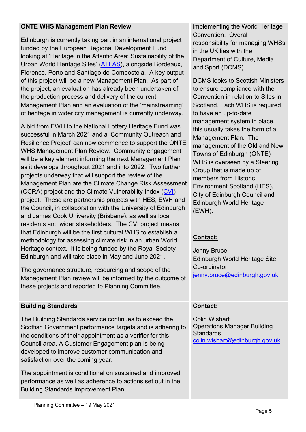### **ONTE WHS Management Plan Review**

Edinburgh is currently taking part in an international project funded by the European Regional Development Fund looking at 'Heritage in the Atlantic Area: Sustainability of the Urban World Heritage Sites' [\(ATLAS\)](https://ewh.org.uk/project/atlas-world-heritage/), alongside Bordeaux, Florence, Porto and Santiago de Compostela. A key output of this project will be a new Management Plan. As part of the project, an evaluation has already been undertaken of the production process and delivery of the current Management Plan and an evaluation of the 'mainstreaming' of heritage in wider city management is currently underway.

A bid from EWH to the National Lottery Heritage Fund was successful in March 2021 and a 'Community Outreach and Resilience Project' can now commence to support the ONTE WHS Management Plan Review. Community engagement will be a key element informing the next Management Plan as it develops throughout 2021 and into 2022. Two further projects underway that will support the review of the Management Plan are the Climate Change Risk Assessment (CCRA) project and the Climate Vulnerability Index [\(CVI\)](https://cvi-heritage.org/) project. These are partnership projects with HES, EWH and the Council, in collaboration with the University of Edinburgh and James Cook University (Brisbane), as well as local residents and wider stakeholders. The CVI project means that Edinburgh will be the first cultural WHS to establish a methodology for assessing climate risk in an urban World Heritage context. It is being funded by the Royal Society Edinburgh and will take place in May and June 2021.

The governance structure, resourcing and scope of the Management Plan review will be informed by the outcome of these projects and reported to Planning Committee.

## **Building Standards**

The Building Standards service continues to exceed the Scottish Government performance targets and is adhering to the conditions of their appointment as a verifier for this Council area. A Customer Engagement plan is being developed to improve customer communication and satisfaction over the coming year.

The appointment is conditional on sustained and improved performance as well as adherence to actions set out in the Building Standards Improvement Plan.

implementing the World Heritage Convention. Overall responsibility for managing WHSs in the UK lies with the Department of Culture, Media and Sport (DCMS).

DCMS looks to Scottish Ministers to ensure compliance with the Convention in relation to Sites in Scotland. Each WHS is required to have an up-to-date management system in place, this usually takes the form of a Management Plan. The management of the Old and New Towns of Edinburgh (ONTE) WHS is overseen by a Steering Group that is made up of members from Historic Environment Scotland (HES), City of Edinburgh Council and Edinburgh World Heritage (EWH).

## **Contact:**

Jenny Bruce Edinburgh World Heritage Site Co-ordinator [jenny.bruce@edinburgh.gov.uk](mailto:jenny.bruce@edinburgh.gov.uk)

## **Contact:**

Colin Wishart Operations Manager Building **Standards** [colin.wishart@edinburgh.gov.uk](mailto:colin.wishart@edinburgh.gov.uk)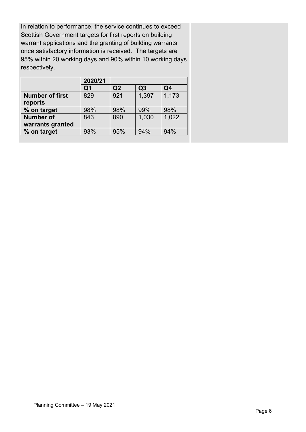In relation to performance, the service continues to exceed Scottish Government targets for first reports on building warrant applications and the granting of building warrants once satisfactory information is received. The targets are 95% within 20 working days and 90% within 10 working days respectively.

|                        | 2020/21 |     |       |                |
|------------------------|---------|-----|-------|----------------|
|                        | Q1      | Q2  | Q3    | Q <sub>4</sub> |
| <b>Number of first</b> | 829     | 921 | 1,397 | 1,173          |
| reports                |         |     |       |                |
| % on target            | 98%     | 98% | 99%   | 98%            |
| <b>Number of</b>       | 843     | 890 | 1,030 | 1,022          |
| warrants granted       |         |     |       |                |
| % on target            | 93%     | 95% | 94%   | 94%            |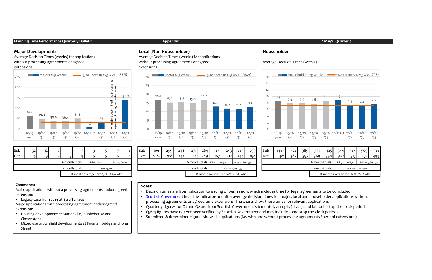#### Planning Time Performance Quarterly Bulletin and the Company of the Appendix 2020/21 Quarter 4 2020/21 Quarter 4

Average Decision Times (weeks) for applications without processing agreements or agreed extensions



| Appendix |
|----------|
|----------|

#### Major Developments Local (Non-Householder) Householder

Average Decision Times (weeks) for applications without processing agreements or agreed extensions



#### Average Decision Times (weeks)



| Sub |                                      | 12 |  |                  |                 |               |  |                |  |  |  |
|-----|--------------------------------------|----|--|------------------|-----------------|---------------|--|----------------|--|--|--|
| Det | つら                                   |    |  |                  |                 |               |  |                |  |  |  |
|     |                                      |    |  | 6 month totals:  |                 | Sub:8, Det:10 |  | Sub:15, Det:12 |  |  |  |
|     |                                      |    |  | 12 month totals: | Sub: 23, Det:22 |               |  |                |  |  |  |
|     | 12 month average for 20/21: 64.0 wks |    |  |                  |                 |               |  |                |  |  |  |

| Sub                                  | 32 <sub>1</sub> |  |  |                 |  |               |  |                |     | <b>Sub</b> | 1061             | 299 | 248                                 | 271                 | 264 | 184                              | 243 | 285                | 295 | <b>Sub</b> | 1464                                 | 422 | 389 | 375                  | 425 | 344              | 384 | 509                 | 526 |
|--------------------------------------|-----------------|--|--|-----------------|--|---------------|--|----------------|-----|------------|------------------|-----|-------------------------------------|---------------------|-----|----------------------------------|-----|--------------------|-----|------------|--------------------------------------|-----|-----|----------------------|-----|------------------|-----|---------------------|-----|
| Det                                  |                 |  |  |                 |  |               |  |                | Det |            | 1082             | 268 | 242                                 | 241                 | 249 | 187                              | 212 | 2441               | 294 | Det        | 1481                                 | 387 | 397 | 369                  | 390 | 362              | 317 | 472                 | 499 |
|                                      |                 |  |  | 6 month totals: |  | Sub:8, Det:10 |  | Sub:15, Det:12 |     |            |                  |     |                                     |                     |     | 6 month totals: Sub:427, Det:399 |     | Sub: 580, Det: 538 |     |            |                                      |     |     | 6 month totals:      |     | Sub:728, Det:679 |     | Sub: 1035, Det: 971 |     |
| 12 month totals:                     |                 |  |  | Sub: 23, Det:22 |  |               |  |                |     |            | 12 month totals: |     |                                     | Sub: 1007, Det: 937 |     |                                  |     |                    |     |            | 12 month totals:                     |     |     | Sub: 1763, Det: 1650 |     |                  |     |                     |     |
| 12 month average for 20/21: 64.0 wks |                 |  |  |                 |  |               |  |                |     |            |                  |     | 12 month average for 20/21:12.2 wks |                     |     |                                  |     |                    |     |            | 12 month average for 20/21: 7.67 wks |     |     |                      |     |                  |     |                     |     |

| цb | 1464 | 422 | 389 | 375                                                        | 425 | 344                                  | 384                  | 509 | 526 |
|----|------|-----|-----|------------------------------------------------------------|-----|--------------------------------------|----------------------|-----|-----|
| et | 1481 | 387 | 397 | 369                                                        | 390 | 362                                  | 317                  | 472 | 499 |
|    |      |     |     | 6 month totals:<br>Sub:728, Det:679<br>Sub: 1035, Det: 971 |     |                                      |                      |     |     |
|    |      |     |     | 12 month totals:                                           |     |                                      | Sub: 1763, Det: 1650 |     |     |
|    |      |     |     |                                                            |     | 12 month average for 20/21: 7.67 wks |                      |     |     |

Major applications with processing agreement and/or agreed extension:

- 
- Mixed use brownfield developments at Fountainbridge and Iona Street

#### Notes:

• Decision times are from validation to issuing of permission, which includes time for legal agreements to be concluded.

• Scottish Government headline indicators monitor average decision times for major, local and householder applications without processing agreements or agreed time extensions. The charts show these times for relevant applications

• Quarterly figures for Q1 and Q2 are from Scottish Government's 6 monthly analysis (draft), and factor in stop-the-clock periods.